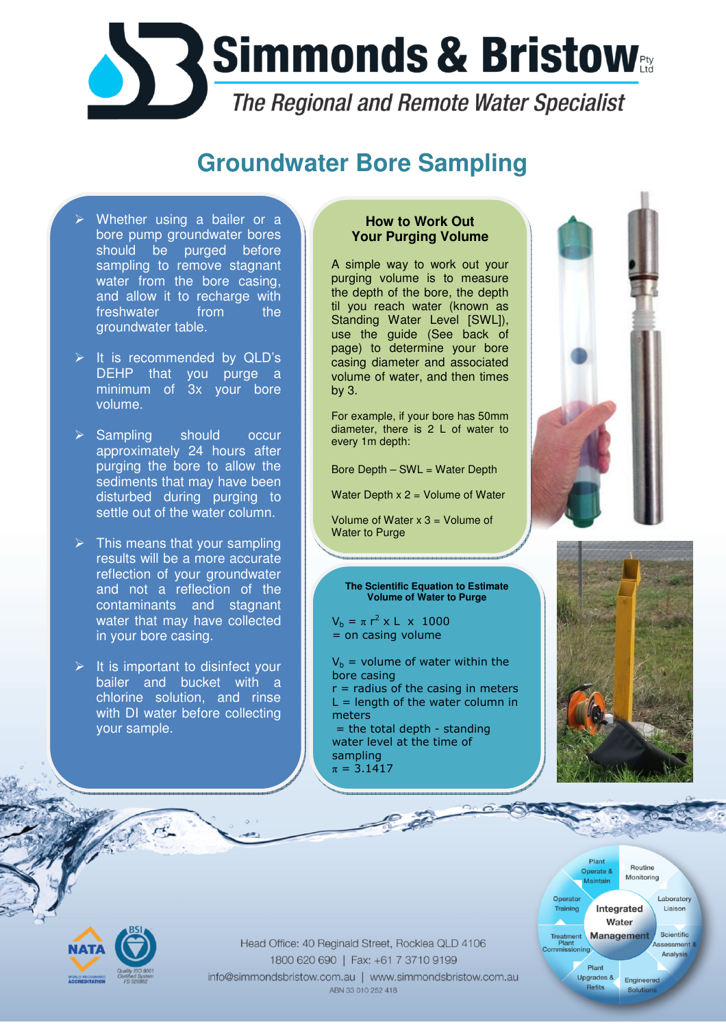

## **Groundwater Bore Sampling**

- Whether using a bailer or a bore pump groundwater bores should be purged before sampling to remove stagnant water from the bore casing, and allow it to recharge with freshwater from the groundwater table.
- $\triangleright$  It is recommended by QLD's DEHP that you purge a minimum of 3x your bore volume.
- $\triangleright$  Sampling should occur approximately 24 hours after purging the bore to allow the sediments that may have been disturbed during purging to settle out of the water column.
- $\triangleright$  This means that your sampling results will be a more accurate reflection of your groundwater and not a reflection of the contaminants and stagnant water that may have collected in your bore casing.
- $\triangleright$  It is important to disinfect your bailer and bucket with a chlorine solution, and rinse with DI water before collecting your sample.

## **How to Work Out Your Purging Volume**

A simple way to work out your purging volume is to measure the depth of the bore, the depth til you reach water (known as Standing Water Level [SWL]), use the guide (See back of page) to determine your bore casing diameter and associated volume of water, and then times by 3.

For example, if your bore has 50mm diameter, there is 2 L of water to every 1m depth:

Bore Depth – SWL = Water Depth

Water Depth  $x 2 =$  Volume of Water

Volume of Water  $x$  3 = Volume of Water to Purge

## **The Scientific Equation to Estimate Volume of Water to Purge**

 $V_b = \pi r^2 \times L \times 1000$ = on casing volume

- $V_b$  = volume of water within the bore casing
- $r =$  radius of the casing in meters  $L =$  length of the water column in meters

 $=$  the total depth - standing water level at the time of sampling  $\pi = 3.1417$ 

 $\sqrt{2}$ 





Plant

Operate &

Plant

Refits

Operator

**Training** 

Treatment<br>Plant

**Routine** 

Monitoring

Integrated

Water

**Management** 

Upgrades & Engineered

Laboratory

Liaison

Scientific

essment Analysis



Head Office: 40 Reginald Street, Rocklea QLD 4106 1800 620 690 | Fax: +61 7 3710 9199 info@simmondsbristow.com.au | www.simmondsbristow.com.au ABN 33 010 252 418